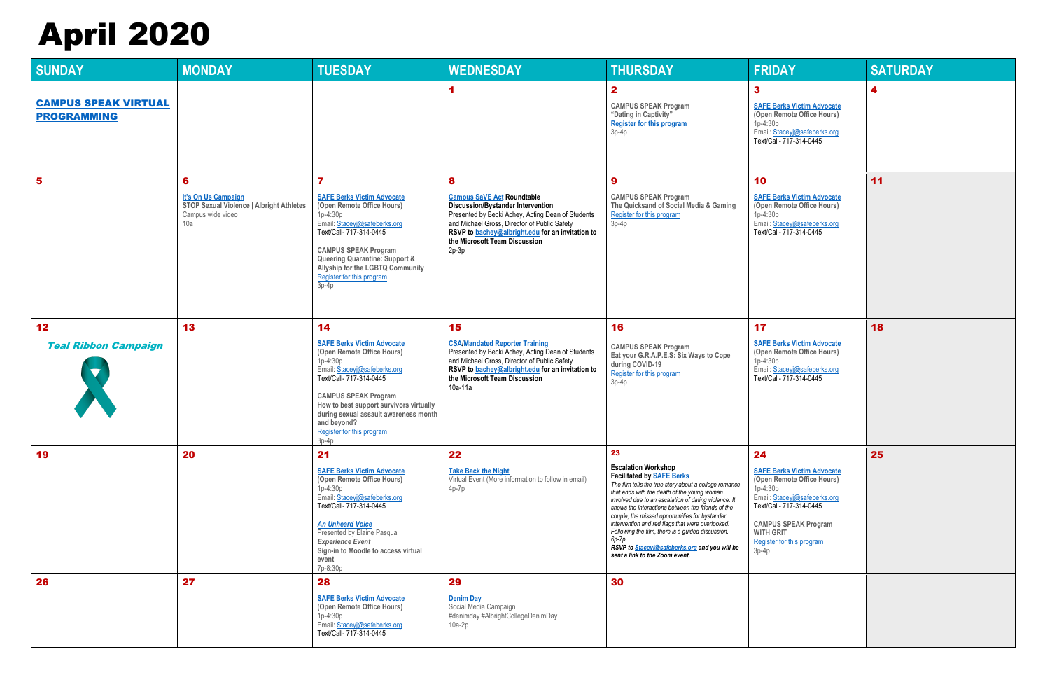| <b>SUNDAY</b>                                     | <b>MONDAY</b>                                                                                                         | <b>TUESDAY</b>                                                                                                                                                                                                                                                                                                           | <b>WEDNESDAY</b>                                                                                                                                                                                                                                                                        | <b>THURSDAY</b>                                                                                                                                                                                                                                                                                                                                                                                                                                                                                                                                  | <b>FRIDAY</b>                                                                                                                                                                                                                             | <b>SATURDAY</b> |
|---------------------------------------------------|-----------------------------------------------------------------------------------------------------------------------|--------------------------------------------------------------------------------------------------------------------------------------------------------------------------------------------------------------------------------------------------------------------------------------------------------------------------|-----------------------------------------------------------------------------------------------------------------------------------------------------------------------------------------------------------------------------------------------------------------------------------------|--------------------------------------------------------------------------------------------------------------------------------------------------------------------------------------------------------------------------------------------------------------------------------------------------------------------------------------------------------------------------------------------------------------------------------------------------------------------------------------------------------------------------------------------------|-------------------------------------------------------------------------------------------------------------------------------------------------------------------------------------------------------------------------------------------|-----------------|
| <b>CAMPUS SPEAK VIRTUAL</b><br><b>PROGRAMMING</b> |                                                                                                                       |                                                                                                                                                                                                                                                                                                                          |                                                                                                                                                                                                                                                                                         | $\mathbf{2}$<br><b>CAMPUS SPEAK Program</b><br>"Dating in Captivity"<br><b>Register for this program</b><br>$3p-4p$                                                                                                                                                                                                                                                                                                                                                                                                                              | 3<br><b>SAFE Berks Victim Advocate</b><br>(Open Remote Office Hours)<br>$1p-4:30p$<br>Email: Staceyj@safeberks.org<br>Text/Call- 717-314-0445                                                                                             | 4               |
| $5\phantom{1}$                                    | $6\phantom{1}6$<br>It's On Us Campaign<br><b>STOP Sexual Violence   Albright Athletes</b><br>Campus wide video<br>10a | $\overline{\mathbf{r}}$<br><b>SAFE Berks Victim Advocate</b><br>(Open Remote Office Hours)<br>$1p-4:30p$<br>Email: Staceyj@safeberks.org<br>Text/Call- 717-314-0445<br><b>CAMPUS SPEAK Program</b><br>Queering Quarantine: Support &<br>Allyship for the LGBTQ Community<br>Register for this program<br>$3p-4p$         | 8<br><b>Campus SaVE Act Roundtable</b><br><b>Discussion/Bystander Intervention</b><br>Presented by Becki Achey, Acting Dean of Students<br>and Michael Gross, Director of Public Safety<br>RSVP to bachey@albright.edu for an invitation to<br>the Microsoft Team Discussion<br>$2p-3p$ | $\boldsymbol{9}$<br><b>CAMPUS SPEAK Program</b><br>The Quicksand of Social Media & Gaming<br>Register for this program<br>$3p-4p$                                                                                                                                                                                                                                                                                                                                                                                                                | 10<br><b>SAFE Berks Victim Advocate</b><br>(Open Remote Office Hours)<br>$1p-4:30p$<br>Email: Staceyj@safeberks.org<br>Text/Call- 717-314-0445                                                                                            | 11              |
| 12<br><b>Teal Ribbon Campaign</b>                 | 13                                                                                                                    | 14<br><b>SAFE Berks Victim Advocate</b><br>(Open Remote Office Hours)<br>$1p-4:30p$<br>Email: Staceyj@safeberks.org<br>Text/Call- 717-314-0445<br><b>CAMPUS SPEAK Program</b><br>How to best support survivors virtually<br>during sexual assault awareness month<br>and beyond?<br>Register for this program<br>$3p-4p$ | 15<br><b>CSA/Mandated Reporter Training</b><br>Presented by Becki Achey, Acting Dean of Students<br>and Michael Gross, Director of Public Safety<br>RSVP to bachey@albright.edu for an invitation to<br>the Microsoft Team Discussion<br>10a-11a                                        | 16<br><b>CAMPUS SPEAK Program</b><br>Eat your G.R.A.P.E.S: Six Ways to Cope<br>during COVID-19<br>Register for this program<br>$3p-4p$                                                                                                                                                                                                                                                                                                                                                                                                           | 17<br><b>SAFE Berks Victim Advocate</b><br>(Open Remote Office Hours)<br>1p-4:30p<br>Email: Staceyj@safeberks.org<br>Text/Call- 717-314-0445                                                                                              | 18              |
| 19                                                | 20                                                                                                                    | 21<br><b>SAFE Berks Victim Advocate</b><br>(Open Remote Office Hours)<br>1p-4:30p<br>Email: Staceyj@safeberks.org<br>Text/Call- 717-314-0445<br><b>An Unheard Voice</b><br>Presented by Elaine Pasqua<br><b>Experience Event</b><br>Sign-in to Moodle to access virtual<br>event<br>7p-8:30p                             | 22<br><b>Take Back the Night</b><br>Virtual Event (More information to follow in email)<br>$4p-7p$                                                                                                                                                                                      | 23<br><b>Escalation Workshop</b><br><b>Facilitated by SAFE Berks</b><br>The film tells the true story about a college romance<br>that ends with the death of the young woman<br>involved due to an escalation of dating violence. It<br>shows the interactions between the friends of the<br>couple, the missed opportunities for bystander<br>intervention and red flags that were overlooked.<br>Following the film, there is a guided discussion.<br>6р-7р<br>RSVP to Staceyj@safeberks.org and you will be<br>sent a link to the Zoom event. | 24<br><b>SAFE Berks Victim Advocate</b><br>(Open Remote Office Hours)<br>$1p-4:30p$<br>Email: Staceyj@safeberks.org<br>Text/Call- 717-314-0445<br><b>CAMPUS SPEAK Program</b><br><b>WITH GRIT</b><br>Register for this program<br>$3p-4p$ | 25              |
| 26                                                | 27                                                                                                                    | 28<br><b>SAFE Berks Victim Advocate</b><br>(Open Remote Office Hours)<br>$1p-4:30p$<br>Email: Staceyj@safeberks.org<br>Text/Call- 717-314-0445                                                                                                                                                                           | 29<br><b>Denim Day</b><br>Social Media Campaign<br>#denimday #AlbrightCollegeDenimDay<br>$10a-2p$                                                                                                                                                                                       | 30                                                                                                                                                                                                                                                                                                                                                                                                                                                                                                                                               |                                                                                                                                                                                                                                           |                 |

## April 2020